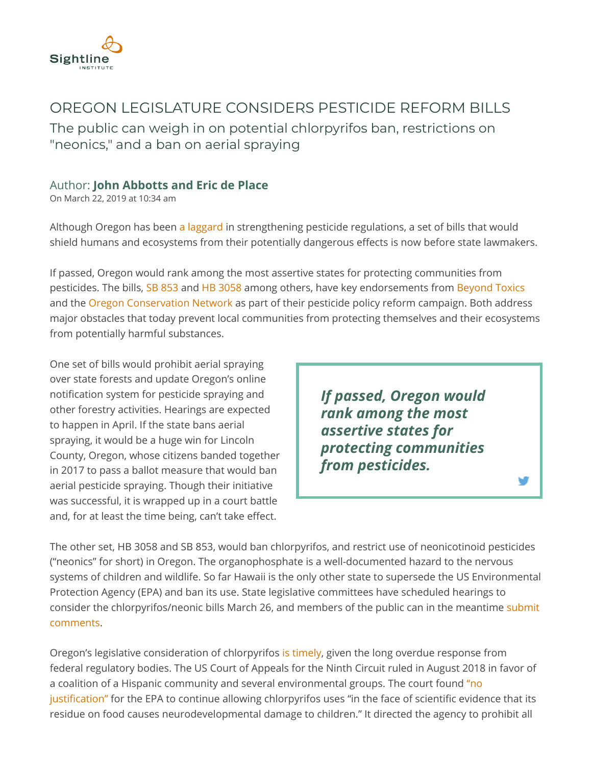

## OREGON LEGISLATURE CONSIDERS PESTICIDE REFORM BILLS

The public can weigh in on potential chlorpyrifos ban, restrictions on "neonics," and a ban on aerial spraying

## Author: **[John Abbotts](https://www.sightline.org/author/john-abbotts/) and [Eric de Place](https://www.sightline.org/author/eric-de-place/)**

On March 22, 2019 at 10:34 am

Although Oregon has been [a laggard](https://www.sightline.org/2019/03/12/pesticide-lobbyists-oregon-government-power/) in strengthening pesticide regulations, a set of bills that would shield humans and ecosystems from their potentially dangerous effects is now before state lawmakers.

If passed, Oregon would rank among the most assertive states for protecting communities from pesticides. The bills, [SB 853](https://olis.leg.state.or.us/liz/2019R1/Downloads/MeasureDocument/SB853) and [HB 3058](https://olis.leg.state.or.us/liz/2019R1/Downloads/MeasureDocument/HB3058) among others, have key endorsements from [Beyond Toxics](https://www.beyondtoxics.org/2019-pesticide-reform-legislation/) and the [Oregon Conservation Network](http://olcveducationfund.org/our-issues/) as part of their pesticide policy reform campaign. Both address major obstacles that today prevent local communities from protecting themselves and their ecosystems from potentially harmful substances.

One set of bills would prohibit aerial spraying over state forests and update Oregon's online notification system for pesticide spraying and other forestry activities. Hearings are expected to happen in April. If the state bans aerial spraying, it would be a huge win for Lincoln County, Oregon, whose citizens banded together in 2017 to pass a ballot measure that would ban aerial pesticide spraying. Though their initiative was successful, it is wrapped up in a court battle and, for at least the time being, can't take effect.

*If passed, Oregon would rank among the most assertive states for protecting communities from pesticides.*

The other set, HB 3058 and SB 853, would ban chlorpyrifos, and restrict use of neonicotinoid pesticides ("neonics" for short) in Oregon. The organophosphate is a well-documented hazard to the nervous systems of children and wildlife. So far Hawaii is the only other state to supersede the US Environmental Protection Agency (EPA) and ban its use. State legislative committees have scheduled hearings to [consider the chlorpyrifos/neonic bills March 26, and members of the public can in the meantime submit](https://www.beyondtoxics.org/) comments.

Oregon's legislative consideration of chlorpyrifos [is timely,](https://www.sightline.org/2017/05/08/epa-refuses-to-ban-pesticide-that-causes-brain-damage-in-children/) given the long overdue response from federal regulatory bodies. The US Court of Appeals for the Ninth Circuit ruled in August 2018 in favor of a coalition of a Hispanic community and several environmental groups. The court found "no justification" for the EPA to continue allowing chlorpyrifos uses "in the face of scientific evidence that its residue on food causes neurodevelopmental damage to children." It directed the agency to prohibit all